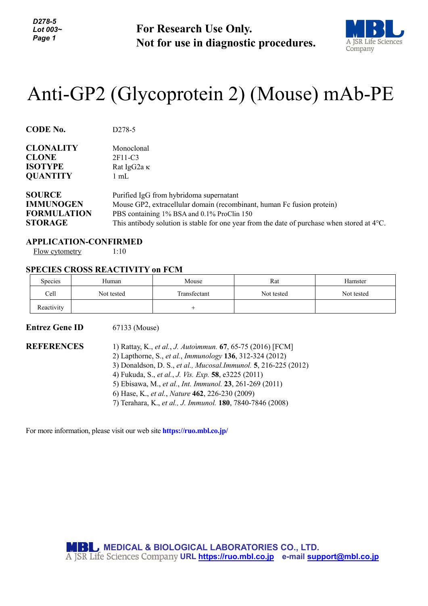*D278-5 Lot 003~ Page 1*

**For Research Use Only. Not for use in diagnostic procedures.**



# Anti-GP2 (Glycoprotein 2) (Mouse) mAb-PE

| <b>CODE No.</b>    | D <sub>278</sub> -5                                                                                   |  |  |  |
|--------------------|-------------------------------------------------------------------------------------------------------|--|--|--|
| <b>CLONALITY</b>   | Monoclonal                                                                                            |  |  |  |
| <b>CLONE</b>       | 2F11-C3                                                                                               |  |  |  |
| <b>ISOTYPE</b>     | Rat IgG2a $\kappa$                                                                                    |  |  |  |
| <b>QUANTITY</b>    | $1 \text{ mL}$                                                                                        |  |  |  |
| <b>SOURCE</b>      | Purified IgG from hybridoma supernatant                                                               |  |  |  |
| <b>IMMUNOGEN</b>   | Mouse GP2, extracellular domain (recombinant, human Fc fusion protein)                                |  |  |  |
| <b>FORMULATION</b> | PBS containing 1% BSA and 0.1% ProClin 150                                                            |  |  |  |
| <b>STORAGE</b>     | This antibody solution is stable for one year from the date of purchase when stored at $4^{\circ}$ C. |  |  |  |

#### **APPLICATION-CONFIRMED**

Flow cytometry 1:10

## **SPECIES CROSS REACTIVITY on FCM**

| <b>Species</b> | Human      | Mouse        | Rat        | Hamster    |
|----------------|------------|--------------|------------|------------|
| Cell           | Not tested | Transfectant | Not tested | Not tested |
| Reactivity     |            |              |            |            |

#### **Entrez Gene ID** 67133 (Mouse)

**REFERENCES** 1) Rattay, K., *et al.*, *J. Auto*i*mmun.* **67**, 65-75 (2016) [FCM]

- 2) Lapthorne, S., *et al.*, *Immunology* **136**, 312-324 (2012)
- 3) Donaldson, D. S., *et al., Mucosal.Immunol.* **5**, 216-225 (2012)
- 4) Fukuda, S., *et al.*, *J. Vis. Exp.* **58**, e3225 (2011)
- 5) Ebisawa, M., *et al.*, *Int. Immunol.* **23**, 261-269 (2011)
- 6) Hase, K., *et al.*, *Nature* **462**, 226-230 (2009)
- 7) Terahara, K., *et al., J. Immunol.* **180**, 7840-7846 (2008)

For more information, please visit our web site **https://ruo.mbl.co.jp/**